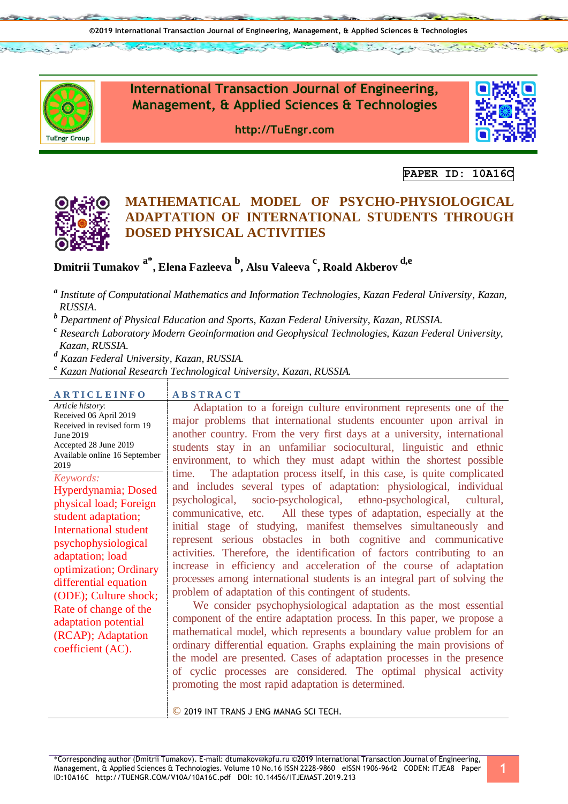uEngr Group

**International Transaction Journal of Engineering, Management, & Applied Sciences & Technologies**

**http://TuEngr.com**



**PAPER ID: 10A16C**

Labor 1974



# **MATHEMATICAL MODEL OF PSYCHO-PHYSIOLOGICAL ADAPTATION OF INTERNATIONAL STUDENTS THROUGH DOSED PHYSICAL ACTIVITIES**

# **Dmitrii Tumakov a\* , Elena Fazleeva <sup>b</sup> , Alsu Valeeva <sup>c</sup> , Roald Akberov d,e**

- *a Institute of Computational Mathematics and Information Technologies, Kazan Federal University, Kazan, RUSSIA.*
- *<sup>b</sup> Department of Physical Education and Sports, Kazan Federal University, Kazan, RUSSIA.*
- *c Research Laboratory Modern Geoinformation and Geophysical Technologies, Kazan Federal University, Kazan, RUSSIA.*

*<sup>d</sup> Kazan Federal University, Kazan, RUSSIA.*

*<sup>e</sup> Kazan National Research Technological University, Kazan, RUSSIA.*

| <b>ARTICLEINFO</b>                                                                                                                                                                                                                                                                                                                                                                                                                                                                               | <b>ABSTRACT</b>                                                                                                                                                                                                                                                                                                                                                                                                                                                                                                                                                                                                                                                                                                                                                                                                                                                                                                                                                                                                                                                                                                                                                                                                                                                                                                                                                                                                                                                                                                                                                                                               |
|--------------------------------------------------------------------------------------------------------------------------------------------------------------------------------------------------------------------------------------------------------------------------------------------------------------------------------------------------------------------------------------------------------------------------------------------------------------------------------------------------|---------------------------------------------------------------------------------------------------------------------------------------------------------------------------------------------------------------------------------------------------------------------------------------------------------------------------------------------------------------------------------------------------------------------------------------------------------------------------------------------------------------------------------------------------------------------------------------------------------------------------------------------------------------------------------------------------------------------------------------------------------------------------------------------------------------------------------------------------------------------------------------------------------------------------------------------------------------------------------------------------------------------------------------------------------------------------------------------------------------------------------------------------------------------------------------------------------------------------------------------------------------------------------------------------------------------------------------------------------------------------------------------------------------------------------------------------------------------------------------------------------------------------------------------------------------------------------------------------------------|
| Article history:<br>Received 06 April 2019<br>Received in revised form 19<br>June 2019<br>Accepted 28 June 2019<br>Available online 16 September<br>2019<br>Keywords:<br>Hyperdynamia; Dosed<br>physical load; Foreign<br>student adaptation;<br><b>International student</b><br>psychophysiological<br>adaptation; load<br>optimization; Ordinary<br>differential equation<br>(ODE); Culture shock;<br>Rate of change of the<br>adaptation potential<br>(RCAP); Adaptation<br>coefficient (AC). | Adaptation to a foreign culture environment represents one of the<br>major problems that international students encounter upon arrival in<br>another country. From the very first days at a university, international<br>students stay in an unfamiliar sociocultural, linguistic and ethnic<br>environment, to which they must adapt within the shortest possible<br>The adaptation process itself, in this case, is quite complicated<br>time.<br>and includes several types of adaptation: physiological, individual<br>psychological, socio-psychological, ethno-psychological, cultural,<br>communicative, etc. All these types of adaptation, especially at the<br>initial stage of studying, manifest themselves simultaneously and<br>represent serious obstacles in both cognitive and communicative<br>activities. Therefore, the identification of factors contributing to an<br>increase in efficiency and acceleration of the course of adaptation<br>processes among international students is an integral part of solving the<br>problem of adaptation of this contingent of students.<br>We consider psychophysiological adaptation as the most essential<br>component of the entire adaptation process. In this paper, we propose a<br>mathematical model, which represents a boundary value problem for an<br>ordinary differential equation. Graphs explaining the main provisions of<br>the model are presented. Cases of adaptation processes in the presence<br>of cyclic processes are considered. The optimal physical activity<br>promoting the most rapid adaptation is determined. |

© 2019 INT TRANS J ENG MANAG SCI TECH.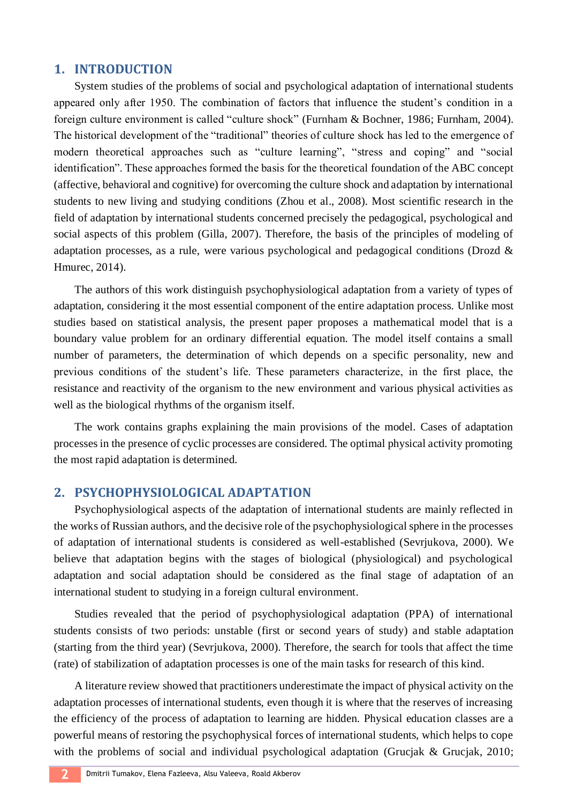### **1. INTRODUCTION**

System studies of the problems of social and psychological adaptation of international students appeared only after 1950. The combination of factors that influence the student's condition in a foreign culture environment is called "culture shock" (Furnham & Bochner, 1986; Furnham, 2004). The historical development of the "traditional" theories of culture shock has led to the emergence of modern theoretical approaches such as "culture learning", "stress and coping" and "social identification". These approaches formed the basis for the theoretical foundation of the ABC concept (affective, behavioral and cognitive) for overcoming the culture shock and adaptation by international students to new living and studying conditions (Zhou et al., 2008). Most scientific research in the field of adaptation by international students concerned precisely the pedagogical, psychological and social aspects of this problem (Gilla, 2007). Therefore, the basis of the principles of modeling of adaptation processes, as a rule, were various psychological and pedagogical conditions (Drozd & Hmurec, 2014).

The authors of this work distinguish psychophysiological adaptation from a variety of types of adaptation, considering it the most essential component of the entire adaptation process. Unlike most studies based on statistical analysis, the present paper proposes a mathematical model that is a boundary value problem for an ordinary differential equation. The model itself contains a small number of parameters, the determination of which depends on a specific personality, new and previous conditions of the student's life. These parameters characterize, in the first place, the resistance and reactivity of the organism to the new environment and various physical activities as well as the biological rhythms of the organism itself.

The work contains graphs explaining the main provisions of the model. Cases of adaptation processes in the presence of cyclic processes are considered. The optimal physical activity promoting the most rapid adaptation is determined.

### **2. PSYCHOPHYSIOLOGICAL ADAPTATION**

Psychophysiological aspects of the adaptation of international students are mainly reflected in the works of Russian authors, and the decisive role of the psychophysiological sphere in the processes of adaptation of international students is considered as well-established (Sevrjukova, 2000). We believe that adaptation begins with the stages of biological (physiological) and psychological adaptation and social adaptation should be considered as the final stage of adaptation of an international student to studying in a foreign cultural environment.

Studies revealed that the period of psychophysiological adaptation (PPA) of international students consists of two periods: unstable (first or second years of study) and stable adaptation (starting from the third year) (Sevrjukova, 2000). Therefore, the search for tools that affect the time (rate) of stabilization of adaptation processes is one of the main tasks for research of this kind.

A literature review showed that practitioners underestimate the impact of physical activity on the adaptation processes of international students, even though it is where that the reserves of increasing the efficiency of the process of adaptation to learning are hidden. Physical education classes are a powerful means of restoring the psychophysical forces of international students, which helps to cope with the problems of social and individual psychological adaptation (Grucjak & Grucjak, 2010;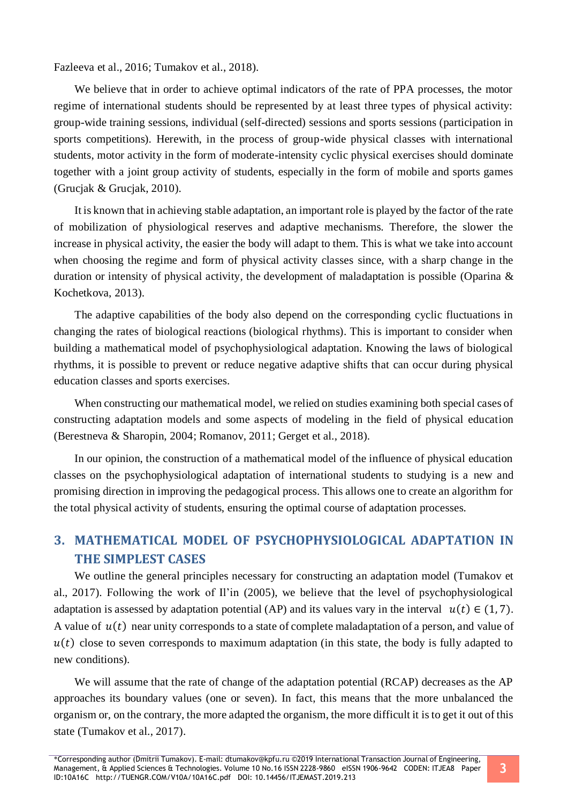Fazleeva et al., 2016; Tumakov et al., 2018).

We believe that in order to achieve optimal indicators of the rate of PPA processes, the motor regime of international students should be represented by at least three types of physical activity: group-wide training sessions, individual (self-directed) sessions and sports sessions (participation in sports competitions). Herewith, in the process of group-wide physical classes with international students, motor activity in the form of moderate-intensity cyclic physical exercises should dominate together with a joint group activity of students, especially in the form of mobile and sports games (Grucjak & Grucjak, 2010).

It is known that in achieving stable adaptation, an important role is played by the factor of the rate of mobilization of physiological reserves and adaptive mechanisms. Therefore, the slower the increase in physical activity, the easier the body will adapt to them. This is what we take into account when choosing the regime and form of physical activity classes since, with a sharp change in the duration or intensity of physical activity, the development of maladaptation is possible (Oparina & Kochetkova, 2013).

The adaptive capabilities of the body also depend on the corresponding cyclic fluctuations in changing the rates of biological reactions (biological rhythms). This is important to consider when building a mathematical model of psychophysiological adaptation. Knowing the laws of biological rhythms, it is possible to prevent or reduce negative adaptive shifts that can occur during physical education classes and sports exercises.

When constructing our mathematical model, we relied on studies examining both special cases of constructing adaptation models and some aspects of modeling in the field of physical education (Berestneva & Sharopin, 2004; Romanov, 2011; Gerget et al., 2018).

In our opinion, the construction of a mathematical model of the influence of physical education classes on the psychophysiological adaptation of international students to studying is a new and promising direction in improving the pedagogical process. This allows one to create an algorithm for the total physical activity of students, ensuring the optimal course of adaptation processes.

## **3. MATHEMATICAL MODEL OF PSYCHOPHYSIOLOGICAL ADAPTATION IN THE SIMPLEST CASES**

We outline the general principles necessary for constructing an adaptation model (Tumakov et al., 2017). Following the work of Il'in (2005), we believe that the level of psychophysiological adaptation is assessed by adaptation potential (AP) and its values vary in the interval  $u(t) \in (1, 7)$ . A value of  $u(t)$  near unity corresponds to a state of complete maladaptation of a person, and value of  $u(t)$  close to seven corresponds to maximum adaptation (in this state, the body is fully adapted to new conditions).

We will assume that the rate of change of the adaptation potential (RCAP) decreases as the AP approaches its boundary values (one or seven). In fact, this means that the more unbalanced the organism or, on the contrary, the more adapted the organism, the more difficult it is to get it out of this state (Tumakov et al., 2017).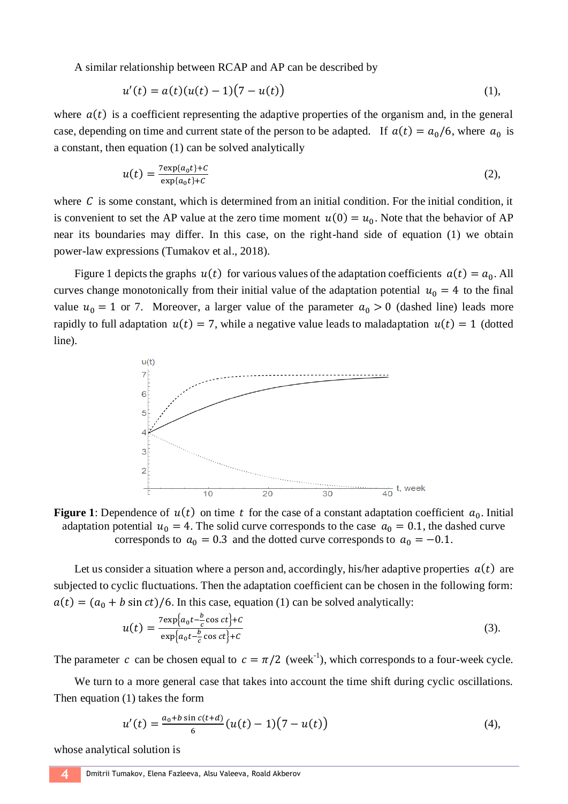A similar relationship between RCAP and AP can be described by

$$
u'(t) = a(t)(u(t) - 1)(7 - u(t))
$$
\n(1),

where  $a(t)$  is a coefficient representing the adaptive properties of the organism and, in the general case, depending on time and current state of the person to be adapted. If  $a(t) = a_0/6$ , where  $a_0$  is a constant, then equation (1) can be solved analytically

$$
u(t) = \frac{7 \exp\{a_0 t\} + C}{\exp\{a_0 t\} + C} \tag{2}
$$

where  $C$  is some constant, which is determined from an initial condition. For the initial condition, it is convenient to set the AP value at the zero time moment  $u(0) = u_0$ . Note that the behavior of AP near its boundaries may differ. In this case, on the right-hand side of equation (1) we obtain power-law expressions (Tumakov et al., 2018).

Figure 1 depicts the graphs  $u(t)$  for various values of the adaptation coefficients  $a(t) = a_0$ . All curves change monotonically from their initial value of the adaptation potential  $u_0 = 4$  to the final value  $u_0 = 1$  or 7. Moreover, a larger value of the parameter  $a_0 > 0$  (dashed line) leads more rapidly to full adaptation  $u(t) = 7$ , while a negative value leads to maladaptation  $u(t) = 1$  (dotted line).



**Figure 1:** Dependence of  $u(t)$  on time t for the case of a constant adaptation coefficient  $a_0$ . Initial adaptation potential  $u_0 = 4$ . The solid curve corresponds to the case  $a_0 = 0.1$ , the dashed curve corresponds to  $a_0 = 0.3$  and the dotted curve corresponds to  $a_0 = -0.1$ .

Let us consider a situation where a person and, accordingly, his/her adaptive properties  $a(t)$  are subjected to cyclic fluctuations. Then the adaptation coefficient can be chosen in the following form:  $a(t) = (a_0 + b \sin ct)/6$ . In this case, equation (1) can be solved analytically:

$$
u(t) = \frac{7 \exp\left\{a_0 t - \frac{b}{c} \cos ct\right\} + C}{\exp\left\{a_0 t - \frac{b}{c} \cos ct\right\} + C}
$$
(3).

The parameter c can be chosen equal to  $c = \pi/2$  (week<sup>-1</sup>), which corresponds to a four-week cycle.

We turn to a more general case that takes into account the time shift during cyclic oscillations. Then equation (1) takes the form

$$
u'(t) = \frac{a_0 + b \sin c(t + d)}{6} (u(t) - 1)(7 - u(t))
$$
\n(4),

whose analytical solution is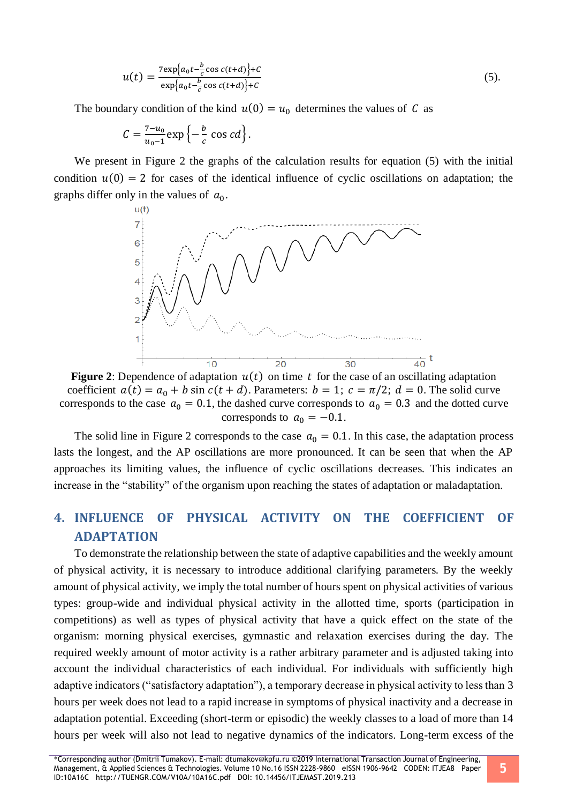$$
u(t) = \frac{7 \exp\{a_0 t - \frac{b}{c} \cos c(t+d)\} + C}{\exp\{a_0 t - \frac{b}{c} \cos c(t+d)\} + C}
$$
(5).

The boundary condition of the kind  $u(0) = u_0$  determines the values of C as

$$
C=\frac{7-u_0}{u_0-1}\exp\left\{-\frac{b}{c}\,\cos\,cd\right\}.
$$

We present in Figure 2 the graphs of the calculation results for equation (5) with the initial condition  $u(0) = 2$  for cases of the identical influence of cyclic oscillations on adaptation; the graphs differ only in the values of  $a_0$ .



**Figure 2:** Dependence of adaptation  $u(t)$  on time t for the case of an oscillating adaptation coefficient  $a(t) = a_0 + b \sin c(t + d)$ . Parameters:  $b = 1$ ;  $c = \pi/2$ ;  $d = 0$ . The solid curve corresponds to the case  $a_0 = 0.1$ , the dashed curve corresponds to  $a_0 = 0.3$  and the dotted curve corresponds to  $a_0 = -0.1$ .

The solid line in Figure 2 corresponds to the case  $a_0 = 0.1$ . In this case, the adaptation process lasts the longest, and the AP oscillations are more pronounced. It can be seen that when the AP approaches its limiting values, the influence of cyclic oscillations decreases. This indicates an increase in the "stability" of the organism upon reaching the states of adaptation or maladaptation.

# **4. INFLUENCE OF PHYSICAL ACTIVITY ON THE COEFFICIENT OF ADAPTATION**

To demonstrate the relationship between the state of adaptive capabilities and the weekly amount of physical activity, it is necessary to introduce additional clarifying parameters. By the weekly amount of physical activity, we imply the total number of hours spent on physical activities of various types: group-wide and individual physical activity in the allotted time, sports (participation in competitions) as well as types of physical activity that have a quick effect on the state of the organism: morning physical exercises, gymnastic and relaxation exercises during the day. The required weekly amount of motor activity is a rather arbitrary parameter and is adjusted taking into account the individual characteristics of each individual. For individuals with sufficiently high adaptive indicators ("satisfactory adaptation"), a temporary decrease in physical activity to less than 3 hours per week does not lead to a rapid increase in symptoms of physical inactivity and a decrease in adaptation potential. Exceeding (short-term or episodic) the weekly classes to a load of more than 14 hours per week will also not lead to negative dynamics of the indicators. Long-term excess of the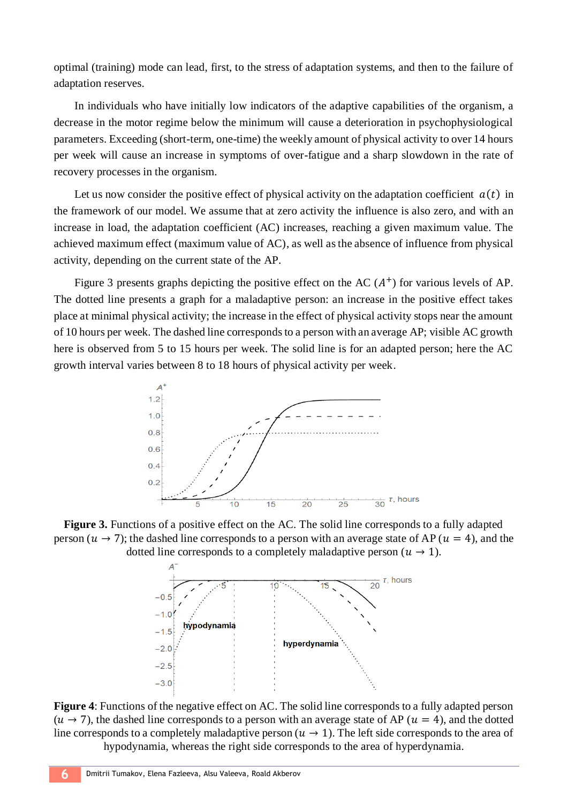optimal (training) mode can lead, first, to the stress of adaptation systems, and then to the failure of adaptation reserves.

In individuals who have initially low indicators of the adaptive capabilities of the organism, a decrease in the motor regime below the minimum will cause a deterioration in psychophysiological parameters. Exceeding (short-term, one-time) the weekly amount of physical activity to over 14 hours per week will cause an increase in symptoms of over-fatigue and a sharp slowdown in the rate of recovery processes in the organism.

Let us now consider the positive effect of physical activity on the adaptation coefficient  $a(t)$  in the framework of our model. We assume that at zero activity the influence is also zero, and with an increase in load, the adaptation coefficient (AC) increases, reaching a given maximum value. The achieved maximum effect (maximum value of AC), as well as the absence of influence from physical activity, depending on the current state of the AP.

Figure 3 presents graphs depicting the positive effect on the AC  $(A<sup>+</sup>)$  for various levels of AP. The dotted line presents a graph for a maladaptive person: an increase in the positive effect takes place at minimal physical activity; the increase in the effect of physical activity stops near the amount of 10 hours per week. The dashed line corresponds to a person with an average AP; visible AC growth here is observed from 5 to 15 hours per week. The solid line is for an adapted person; here the AC growth interval varies between 8 to 18 hours of physical activity per week.



**Figure 3.** Functions of a positive effect on the AC. The solid line corresponds to a fully adapted person ( $u \rightarrow 7$ ); the dashed line corresponds to a person with an average state of AP ( $u = 4$ ), and the dotted line corresponds to a completely maladaptive person ( $u \rightarrow 1$ ).



**Figure 4**: Functions of the negative effect on AC. The solid line corresponds to a fully adapted person  $(u \rightarrow 7)$ , the dashed line corresponds to a person with an average state of AP ( $u = 4$ ), and the dotted line corresponds to a completely maladaptive person ( $u \rightarrow 1$ ). The left side corresponds to the area of hypodynamia, whereas the right side corresponds to the area of hyperdynamia.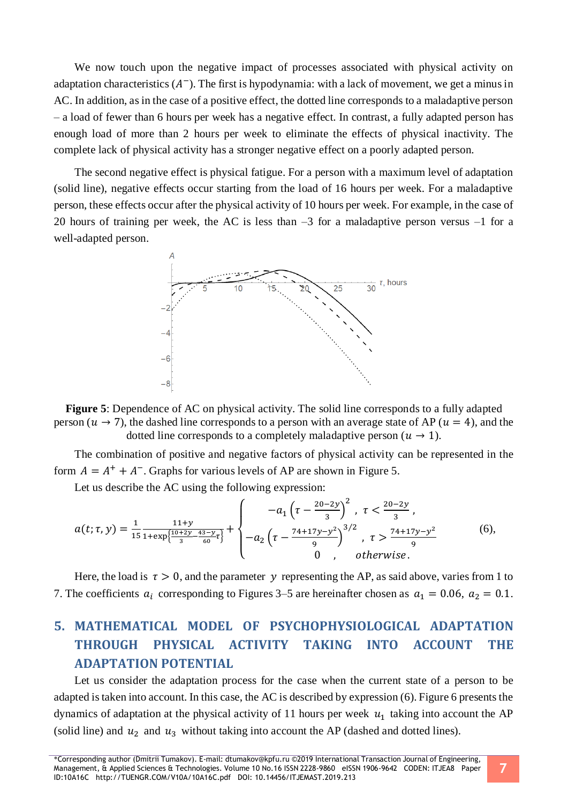We now touch upon the negative impact of processes associated with physical activity on adaptation characteristics  $(A^-)$ . The first is hypodynamia: with a lack of movement, we get a minus in AC. In addition, as in the case of a positive effect, the dotted line corresponds to a maladaptive person – a load of fewer than 6 hours per week has a negative effect. In contrast, a fully adapted person has enough load of more than 2 hours per week to eliminate the effects of physical inactivity. The complete lack of physical activity has a stronger negative effect on a poorly adapted person.

The second negative effect is physical fatigue. For a person with a maximum level of adaptation (solid line), negative effects occur starting from the load of 16 hours per week. For a maladaptive person, these effects occur after the physical activity of 10 hours per week. For example, in the case of 20 hours of training per week, the AC is less than  $-3$  for a maladaptive person versus  $-1$  for a well-adapted person.



**Figure 5**: Dependence of AC on physical activity. The solid line corresponds to a fully adapted person ( $u \rightarrow 7$ ), the dashed line corresponds to a person with an average state of AP ( $u = 4$ ), and the dotted line corresponds to a completely maladaptive person ( $u \rightarrow 1$ ).

The combination of positive and negative factors of physical activity can be represented in the form  $A = A^+ + A^-$ . Graphs for various levels of AP are shown in Figure 5.

Let us describe the AC using the following expression:

$$
a(t;\tau,y) = \frac{1}{15} \frac{11+y}{1+\exp\left\{\frac{10+2y}{3} - \frac{43-y}{60}\tau\right\}} + \begin{cases} -a_1 \left(\tau - \frac{20-2y}{3}\right)^2, & \tau < \frac{20-2y}{3},\\ -a_2 \left(\tau - \frac{74+17y-y^2}{9}\right)^{3/2}, & \tau > \frac{74+17y-y^2}{9} \end{cases}
$$
(6),  
0, otherwise.

Here, the load is  $\tau > 0$ , and the parameter y representing the AP, as said above, varies from 1 to 7. The coefficients  $a_i$  corresponding to Figures 3–5 are hereinafter chosen as  $a_1 = 0.06$ ,  $a_2 = 0.1$ .

# **5. MATHEMATICAL MODEL OF PSYCHOPHYSIOLOGICAL ADAPTATION THROUGH PHYSICAL ACTIVITY TAKING INTO ACCOUNT THE ADAPTATION POTENTIAL**

Let us consider the adaptation process for the case when the current state of a person to be adapted is taken into account. In this case, the AC is described by expression (6). Figure 6 presents the dynamics of adaptation at the physical activity of 11 hours per week  $u_1$  taking into account the AP (solid line) and  $u_2$  and  $u_3$  without taking into account the AP (dashed and dotted lines).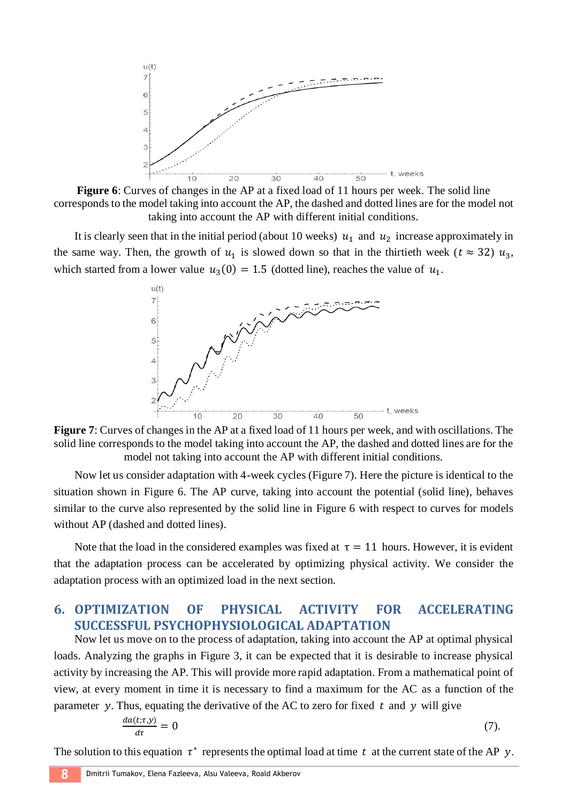

**Figure 6**: Curves of changes in the AP at a fixed load of 11 hours per week. The solid line corresponds to the model taking into account the AP, the dashed and dotted lines are for the model not taking into account the AP with different initial conditions.

It is clearly seen that in the initial period (about 10 weeks)  $u_1$  and  $u_2$  increase approximately in the same way. Then, the growth of  $u_1$  is slowed down so that in the thirtieth week ( $t \approx 32$ )  $u_3$ , which started from a lower value  $u_3(0) = 1.5$  (dotted line), reaches the value of  $u_1$ .



**Figure 7**: Curves of changes in the AP at a fixed load of 11 hours per week, and with oscillations. The solid line corresponds to the model taking into account the AP, the dashed and dotted lines are for the model not taking into account the AP with different initial conditions.

Now let us consider adaptation with 4-week cycles (Figure 7). Here the picture is identical to the situation shown in Figure 6. The AP curve, taking into account the potential (solid line), behaves similar to the curve also represented by the solid line in Figure 6 with respect to curves for models without AP (dashed and dotted lines).

Note that the load in the considered examples was fixed at  $\tau = 11$  hours. However, it is evident that the adaptation process can be accelerated by optimizing physical activity. We consider the adaptation process with an optimized load in the next section.

## **6. OPTIMIZATION OF PHYSICAL ACTIVITY FOR ACCELERATING SUCCESSFUL PSYCHOPHYSIOLOGICAL ADAPTATION**

Now let us move on to the process of adaptation, taking into account the AP at optimal physical loads. Analyzing the graphs in Figure 3, it can be expected that it is desirable to increase physical activity by increasing the AP. This will provide more rapid adaptation. From a mathematical point of view, at every moment in time it is necessary to find a maximum for the AC as a function of the parameter y. Thus, equating the derivative of the AC to zero for fixed  $t$  and  $y$  will give

$$
\frac{da(t;\tau,y)}{d\tau} = 0\tag{7}.
$$

The solution to this equation  $\tau^*$  represents the optimal load at time t at the current state of the AP y.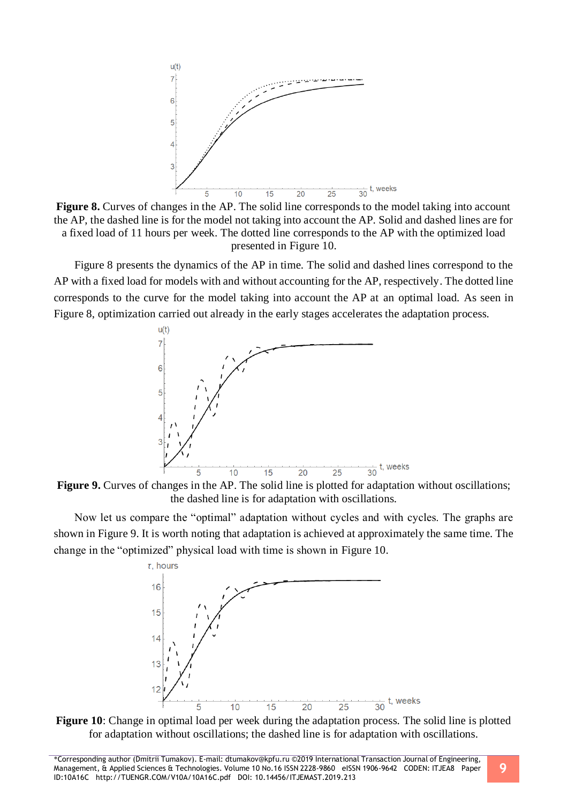

**Figure 8.** Curves of changes in the AP. The solid line corresponds to the model taking into account the AP, the dashed line is for the model not taking into account the AP. Solid and dashed lines are for a fixed load of 11 hours per week. The dotted line corresponds to the AP with the optimized load presented in Figure 10.

Figure 8 presents the dynamics of the AP in time. The solid and dashed lines correspond to the AP with a fixed load for models with and without accounting for the AP, respectively. The dotted line corresponds to the curve for the model taking into account the AP at an optimal load. As seen in Figure 8, optimization carried out already in the early stages accelerates the adaptation process.



**Figure 9.** Curves of changes in the AP. The solid line is plotted for adaptation without oscillations; the dashed line is for adaptation with oscillations.

Now let us compare the "optimal" adaptation without cycles and with cycles. The graphs are shown in Figure 9. It is worth noting that adaptation is achieved at approximately the same time. The change in the "optimized" physical load with time is shown in Figure 10.



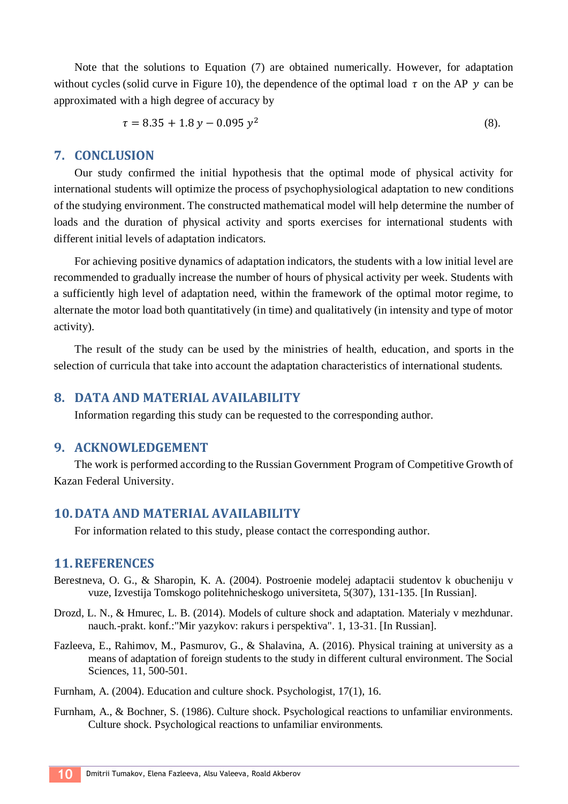Note that the solutions to Equation (7) are obtained numerically. However, for adaptation without cycles (solid curve in Figure 10), the dependence of the optimal load  $\tau$  on the AP  $\gamma$  can be approximated with a high degree of accuracy by

$$
\tau = 8.35 + 1.8 y - 0.095 y^2 \tag{8}
$$

#### **7. CONCLUSION**

Our study confirmed the initial hypothesis that the optimal mode of physical activity for international students will optimize the process of psychophysiological adaptation to new conditions of the studying environment. The constructed mathematical model will help determine the number of loads and the duration of physical activity and sports exercises for international students with different initial levels of adaptation indicators.

For achieving positive dynamics of adaptation indicators, the students with a low initial level are recommended to gradually increase the number of hours of physical activity per week. Students with a sufficiently high level of adaptation need, within the framework of the optimal motor regime, to alternate the motor load both quantitatively (in time) and qualitatively (in intensity and type of motor activity).

The result of the study can be used by the ministries of health, education, and sports in the selection of curricula that take into account the adaptation characteristics of international students.

### **8. DATA AND MATERIAL AVAILABILITY**

Information regarding this study can be requested to the corresponding author.

#### **9. ACKNOWLEDGEMENT**

The work is performed according to the Russian Government Program of Competitive Growth of Kazan Federal University.

#### **10.DATA AND MATERIAL AVAILABILITY**

For information related to this study, please contact the corresponding author.

#### **11.REFERENCES**

- Berestneva, O. G., & Sharopin, K. A. (2004). Postroenie modelej adaptacii studentov k obucheniju v vuze, Izvestija Tomskogo politehnicheskogo universiteta, 5(307), 131-135. [In Russian].
- Drozd, L. N., & Hmurec, L. B. (2014). Models of culture shock and adaptation. Materialy v mezhdunar. nauch.-prakt. konf.:"Mir yazykov: rakurs i perspektiva". 1, 13-31. [In Russian].
- Fazleeva, E., Rahimov, M., Pasmurov, G., & Shalavina, A. (2016). Physical training at university as a means of adaptation of foreign students to the study in different cultural environment. The Social Sciences, 11, 500-501.
- Furnham, A. (2004). Education and culture shock. Psychologist, 17(1), 16.
- Furnham, A., & Bochner, S. (1986). Culture shock. Psychological reactions to unfamiliar environments. Culture shock. Psychological reactions to unfamiliar environments.